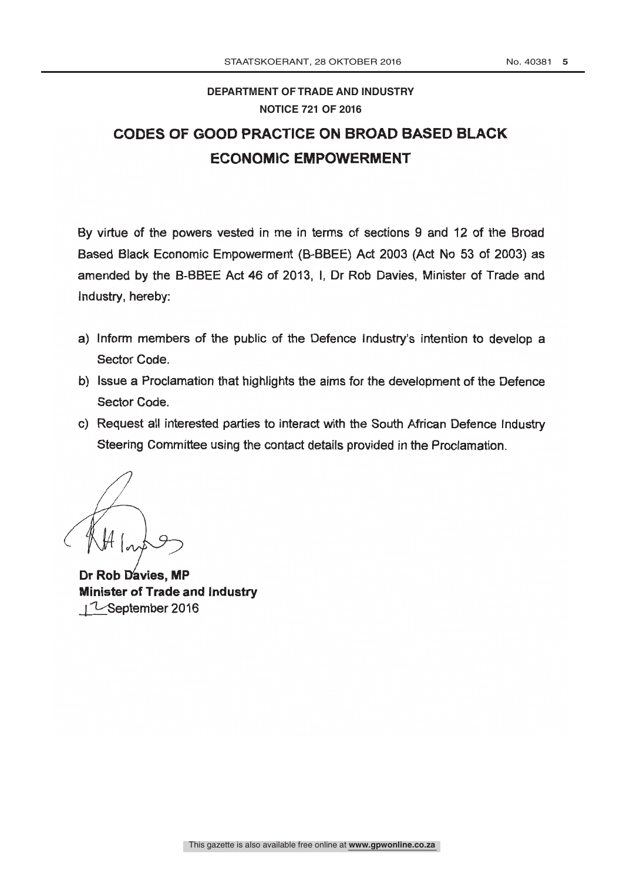## DEPARTMENT OF TRADE AND INDUSTRY **NOTICE 721 OF 2016 DEPARTMENT OF TRADE AND INDUSTRY**

# CODES OF GOOD PRACTICE ON BROAD BASED BLACK ECONOMIC EMPOWERMENT

By virtue of the powers vested in me in terms of sections 9 and 12 of the Broad Based Black Economic Empowerment (B -BBEE) Act 2003 (Act No 53 of 2003) as amended by the B-BBEE Act 46 of 2013, I, Dr Rob Davies, Minister of Trade and Industry, hereby:

- a) Inform members of the public of the Defence Industry's intention to develop <sup>a</sup> Sector Code.
- b) Issue a Proclamation that highlights the aims for the development of the Defence Sector Code.
- c) Request all interested parties to interact with the South African Defence Industry Steering Committee using the contact details provided in the Proclamation.

Dr Rob Davies, MP Minister of Trade and Industry I I-September 2016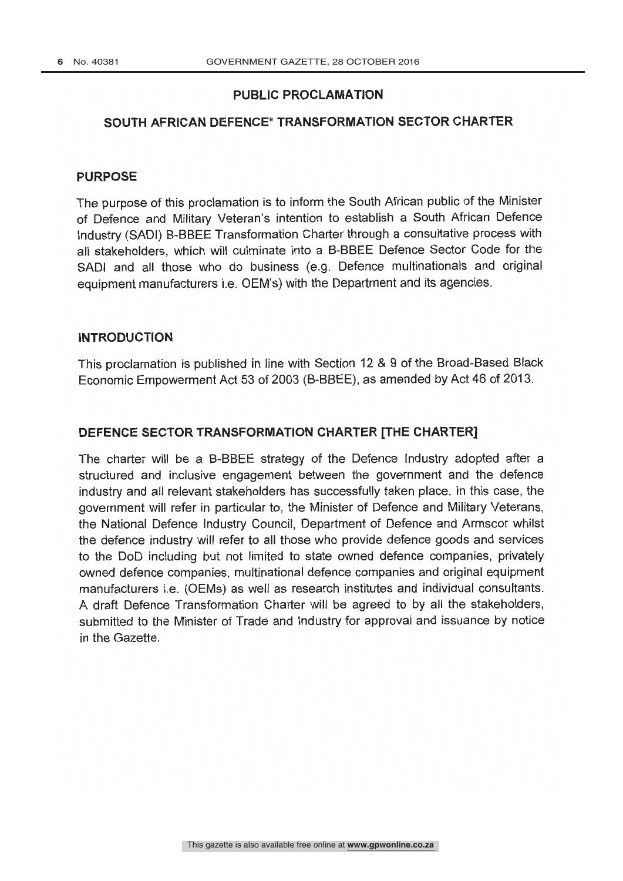### PUBLIC PROCLAMATION

#### SOUTH AFRICAN DEFENCE\* TRANSFORMATION SECTOR CHARTER

#### PURPOSE

The purpose of this proclamation is to inform the South African public of the Minister of Defence and Military Veteran's intention to establish a South African Defence Industry (SADI) B -BBEE Transformation Charter through a consultative process with all stakeholders, which will culminate into a B-BBEE Defence Sector Code for the SADI and all those who do business (e.g. Defence multinationals and original equipment manufacturers i.e. OEM's) with the Department and its agencies.

#### INTRODUCTION

This proclamation is published in line with Section 12 & 9 of the Broad -Based Black Economic Empowerment Act 53 of 2003 (B- BBEE), as amended by Act 46 of 2013.

#### DEFENCE SECTOR TRANSFORMATION CHARTER [THE CHARTER]

The charter will be a B-BBEE strategy of the Defence Industry adopted after a structured and inclusive engagement between the government and the defence industry and all relevant stakeholders has successfully taken place. In this case, the government will refer in particular to, the Minister of Defence and Military Veterans, the National Defence Industry Council, Department of Defence and Armscor whilst the defence industry will refer to all those who provide defence goods and services to the DoD including but not limited to state owned defence companies, privately owned defence companies, multinational defence companies and original equipment manufacturers i.e. (OEMs) as well as research institutes and individual consultants. A draft Defence Transformation Charter will be agreed to by all the stakeholders, submitted to the Minister of Trade and Industry for approval and issuance by notice in the Gazette.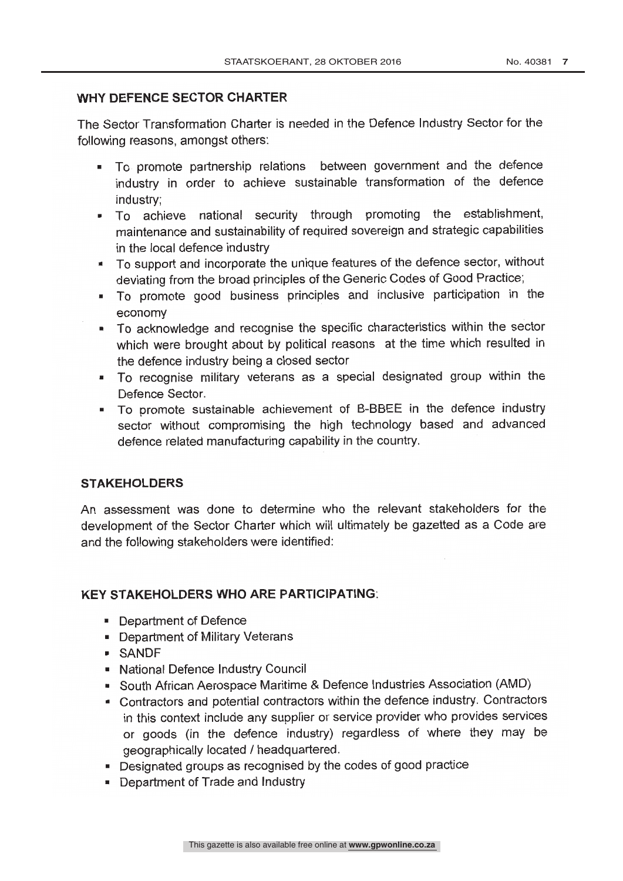#### WHY DEFENCE SECTOR CHARTER

The Sector Transformation Charter is needed in the Defence Industry Sector for the following reasons, amongst others:

- To promote partnership relations between government and the defence industry in order to achieve sustainable transformation of the defence industry;
- To achieve national security through promoting the establishment, maintenance and sustainability of required sovereign and strategic capabilities in the local defence industry
- To support and incorporate the unique features of the defence sector, without deviating from the broad principles of the Generic Codes of Good Practice;
- To promote good business principles and inclusive participation in the economy
- To acknowledge and recognise the specific characteristics within the sector  $\blacksquare$ which were brought about by political reasons at the time which resulted in the defence industry being a closed sector
- To recognise military veterans as a special designated group within the Defence Sector.
- To promote sustainable achievement of B -BBEE in the defence industry sector without compromising the high technology based and advanced defence related manufacturing capability in the country.

#### **STAKEHOLDERS**

An assessment was done to determine who the relevant stakeholders for the development of the Sector Charter which will ultimately be gazetted as a Code are and the following stakeholders were identified:

#### KEY STAKEHOLDERS WHO ARE PARTICIPATING:

- **Department of Defence**
- **Department of Military Veterans**
- SANDF
- National Defence Industry Council
- South African Aerospace Maritime & Defence Industries Association (AMD)
- Contractors and potential contractors within the defence industry. Contractors in this context include any supplier or service provider who provides services or goods (in the defence industry) regardless of where they may be geographically located / headquartered.
- Designated groups as recognised by the codes of good practice
- **Department of Trade and Industry**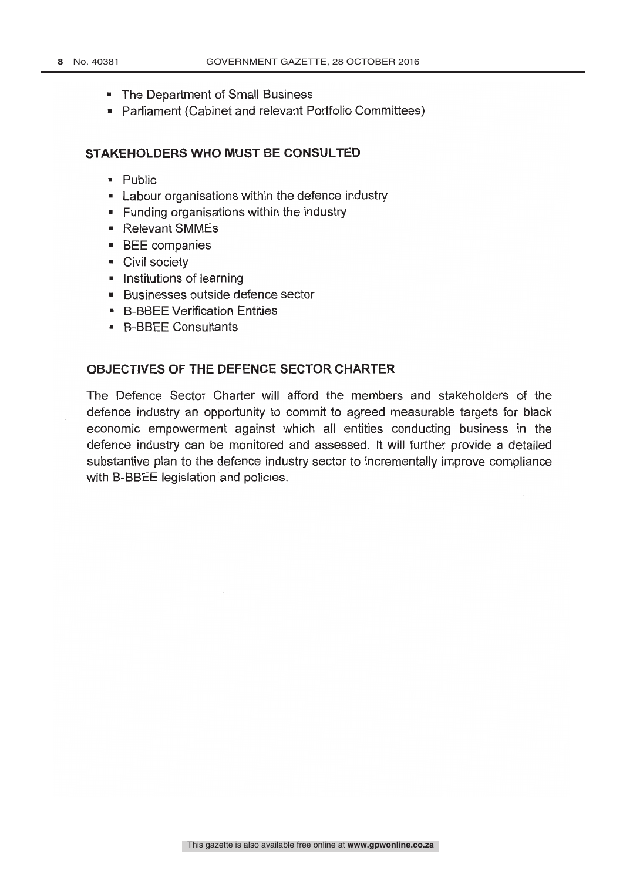- The Department of Small Business
- Parliament (Cabinet and relevant Portfolio Committees)

#### STAKEHOLDERS WHO MUST BE CONSULTED

- **Public**
- **EXEC** Labour organisations within the defence industry
- **Funding organisations within the industry**
- Relevant SMMEs
- **BEE** companies
- **Civil society**
- $\blacksquare$  Institutions of learning
- Businesses outside defence sector
- **B-BBEE Verification Entities**
- **B-BBEE Consultants**

#### OBJECTIVES OF THE DEFENCE SECTOR CHARTER

The Defence Sector Charter will afford the members and stakeholders of the defence industry an opportunity to commit to agreed measurable targets for black economic empowerment against which all entities conducting business in the defence industry can be monitored and assessed. It will further provide a detailed substantive plan to the defence industry sector to incrementally improve compliance with B-BBEE legislation and policies.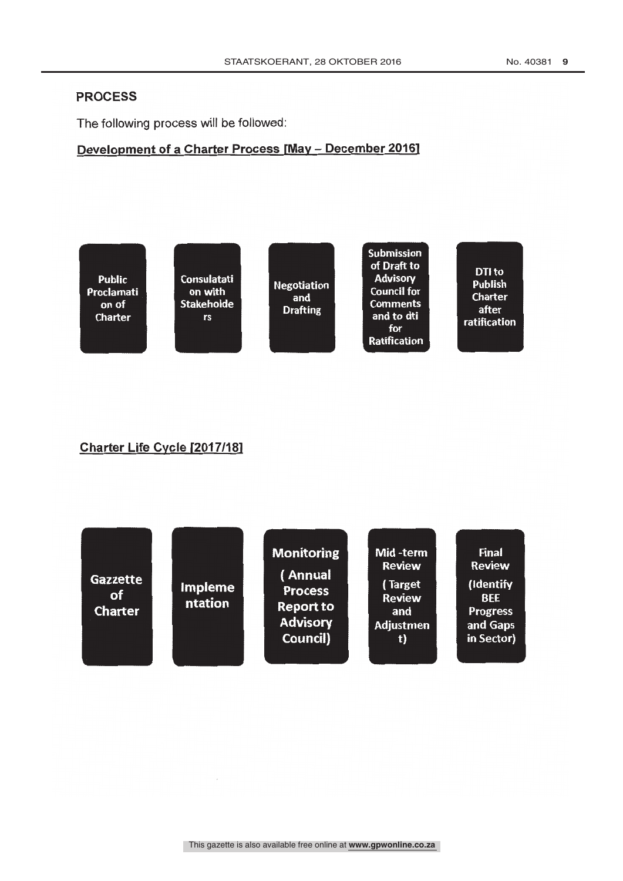#### PROCESS

The following process will be followed:

# Development of a Charter Process [May - December 2016]



# Charter Life Cycle [2017/181

| Gazzette<br>of<br><b>Charter</b> | <b>Impleme</b><br>ntation | <b>Monitoring</b><br>( Annual<br><b>Process</b><br><b>Report to</b><br><b>Advisory</b><br>Council) | Mid-term<br><b>Review</b><br>(Target<br><b>Review</b><br>and<br><b>Adjustmen</b><br>t) | <b>Final</b><br><b>Review</b><br>(Identify<br><b>BEE</b><br><b>Progress</b><br>and Gaps<br>in Sector) |  |
|----------------------------------|---------------------------|----------------------------------------------------------------------------------------------------|----------------------------------------------------------------------------------------|-------------------------------------------------------------------------------------------------------|--|
|                                  |                           |                                                                                                    |                                                                                        |                                                                                                       |  |